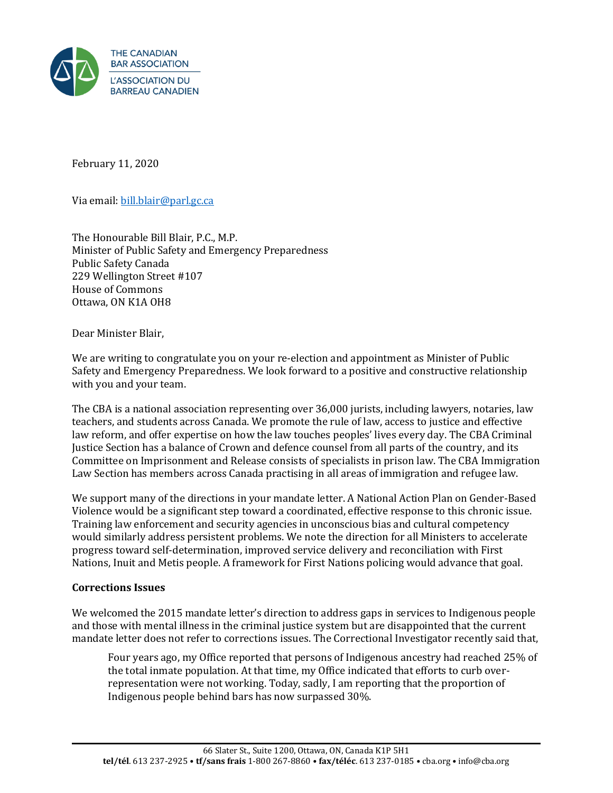

February 11, 2020

Via email[: bill.blair@parl.gc.ca](mailto:BILL.BLAIR@PARL.GC.CA)

The Honourable Bill Blair, P.C., M.P. Minister of Public Safety and Emergency Preparedness Public Safety Canada 229 Wellington Street #107 House of Commons Ottawa, ON K1A OH8

Dear Minister Blair,

We are writing to congratulate you on your re-election and appointment as Minister of Public Safety and Emergency Preparedness. We look forward to a positive and constructive relationship with you and your team.

The CBA is a national association representing over 36,000 jurists, including lawyers, notaries, law teachers, and students across Canada. We promote the rule of law, access to justice and effective law reform, and offer expertise on how the law touches peoples' lives every day. The CBA Criminal Justice Section has a balance of Crown and defence counsel from all parts of the country, and its Committee on Imprisonment and Release consists of specialists in prison law. The CBA Immigration Law Section has members across Canada practising in all areas of immigration and refugee law.

We support many of the directions in your mandate letter. A National Action Plan on Gender-Based Violence would be a significant step toward a coordinated, effective response to this chronic issue. Training law enforcement and security agencies in unconscious bias and cultural competency would similarly address persistent problems. We note the direction for all Ministers to accelerate progress toward self-determination, improved service delivery and reconciliation with First Nations, Inuit and Metis people. A framework for First Nations policing would advance that goal.

## **Corrections Issues**

We welcomed the 2015 mandate letter's direction to address gaps in services to Indigenous people and those with mental illness in the criminal justice system but are disappointed that the current mandate letter does not refer to corrections issues. The Correctional Investigator recently said that,

Four years ago, my Office reported that persons of Indigenous ancestry had reached 25% of the total inmate population. At that time, my Office indicated that efforts to curb overrepresentation were not working. Today, sadly, I am reporting that the proportion of Indigenous people behind bars has now surpassed 30%.